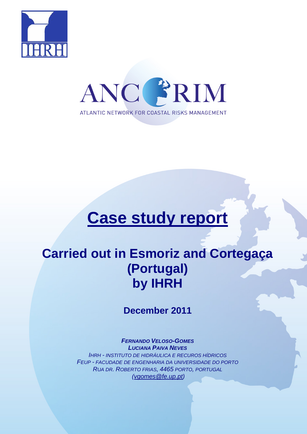



# **Case study report**

## **Carried out in Esmoriz and Cortegaça (Portugal) by IHRH**

**December 2011** 

**FERNANDO VELOSO-GOMES LUCIANA PAIVA NEVES** IHRH - INSTITUTO DE HIDRÁULICA E RECUROS HÍDRICOS FEUP - FACUDADE DE ENGENHARIA DA UNIVERSIDADE DO PORTO RUA DR. ROBERTO FRIAS, 4465 PORTO, PORTUGAL (vgomes@fe.up.pt)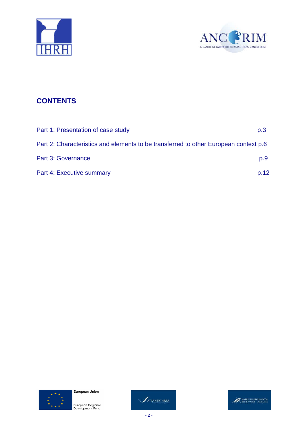



## **CONTENTS**

| Part 1: Presentation of case study                                                   | p.3  |
|--------------------------------------------------------------------------------------|------|
| Part 2: Characteristics and elements to be transferred to other European context p.6 |      |
| Part 3: Governance                                                                   | p.9  |
| Part 4: Executive summary                                                            | p.12 |







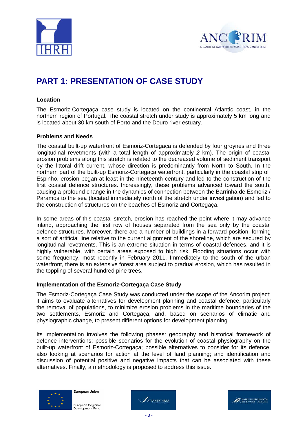



## **PART 1: PRESENTATION OF CASE STUDY**

#### **Location**

The Esmoriz-Cortegaça case study is located on the continental Atlantic coast, in the northern region of Portugal. The coastal stretch under study is approximately 5 km long and is located about 30 km south of Porto and the Douro river estuary.

#### **Problems and Needs**

The coastal built-up waterfront of Esmoriz-Cortegaça is defended by four groynes and three longitudinal revetments (with a total length of approximately 2 km). The origin of coastal erosion problems along this stretch is related to the decreased volume of sediment transport by the littoral drift current, whose direction is predominantly from North to South. In the northern part of the built-up Esmoriz-Cortegaça waterfront, particularly in the coastal strip of Espinho, erosion began at least in the nineteenth century and led to the construction of the first coastal defence structures. Increasingly, these problems advanced toward the south, causing a profound change in the dynamics of connection between the Barrinha de Esmoriz / Paramos to the sea (located immediately north of the stretch under investigation) and led to the construction of structures on the beaches of Esmoriz and Cortegaça.

In some areas of this coastal stretch, erosion has reached the point where it may advance inland, approaching the first row of houses separated from the sea only by the coastal defence structures. Moreover, there are a number of buildings in a forward position, forming a sort of artificial line relative to the current alignment of the shoreline, which are secured by longitudinal revetments. This is an extreme situation in terms of coastal defences, and it is highly vulnerable, with certain areas exposed to high risk. Flooding situations occur with some frequency, most recently in February 2011. Immediately to the south of the urban waterfront, there is an extensive forest area subject to gradual erosion, which has resulted in the toppling of several hundred pine trees.

#### **Implementation of the Esmoriz-Cortegaça Case Study**

The Esmoriz-Cortegaça Case Study was conducted under the scope of the Ancorim project; it aims to evaluate alternatives for development planning and coastal defence, particularly the removal of populations, to minimize erosion problems in the maritime boundaries of the two settlements, Esmoriz and Cortegaça, and, based on scenarios of climatic and physiographic change, to present different options for development planning.

Its implementation involves the following phases: geography and historical framework of defence interventions; possible scenarios for the evolution of coastal physiography on the built-up waterfront of Esmoriz-Cortegaça; possible alternatives to consider for its defence, also looking at scenarios for action at the level of land planning; and identification and discussion of potential positive and negative impacts that can be associated with these alternatives. Finally, a methodology is proposed to address this issue.



**Furopean Regional** Development Fund



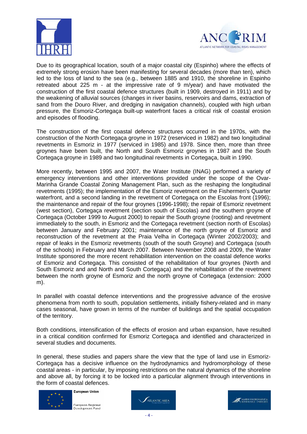



Due to its geographical location, south of a major coastal city (Espinho) where the effects of extremely strong erosion have been manifesting for several decades (more than ten), which led to the loss of land to the sea (e.g., between 1885 and 1910, the shoreline in Espinho retreated about 225 m - at the impressive rate of 9 m/year) and have motivated the construction of the first coastal defence structures (built in 1909, destroyed in 1911) and by the weakening of alluvial sources (changes in river basins, reservoirs and dams, extraction of sand from the Douro River, and dredging in navigation channels), coupled with high urban pressure, the Esmoriz-Cortegaça built-up waterfront faces a critical risk of coastal erosion and episodes of flooding.

The construction of the first coastal defence structures occurred in the 1970s, with the construction of the North Cortegaça groyne in 1972 (reserviced in 1982) and two longitudinal revetments in Esmoriz in 1977 (serviced in 1985) and 1978. Since then, more than three groynes have been built, the North and South Esmoriz groynes in 1987 and the South Cortegaça groyne in 1989 and two longitudinal revetments in Cortegaça, built in 1990.

More recently, between 1995 and 2007, the Water Institute (INAG) performed a variety of emergency interventions and other interventions provided under the scope of the Ovar-Marinha Grande Coastal Zoning Management Plan, such as the reshaping the longitudinal revetments (1995); the implementation of the Esmoriz revetment on the Fishermen's Quarter waterfront, and a second landing in the revetment of Cortegaça on the Escolas front (1996); the maintenance and repair of the four groynes (1996-1998); the repair of Esmoriz revetment (west section), Cortegaça revetment (section south of Escolas) and the southern groyne of Cortegaça (October 1999 to August 2000) to repair the South groyne (rooting) and revetment immediately to the south, in Esmoriz and the Cortegaça revetment (section north of Escolas) between January and February 2001; maintenance of the north groyne of Esmoriz and reconstruction of the revetment at the Praia Velha in Cortegaça (Winter 2002/2003); and repair of leaks in the Esmoriz revetments (south of the south Groyne) and Cortegaça (south of the schools) in February and March 2007. Between November 2008 and 2009, the Water Institute sponsored the more recent rehabilitation intervention on the coastal defence works of Esmoriz and Cortegaça. This consisted of the rehabilitation of four groynes (North and South Esmoriz and and North and South Cortegaça) and the rehabilitation of the revetment between the north groyne of Esmoriz and the north groyne of Cortegaça (extension: 2000 m).

In parallel with coastal defence interventions and the progressive advance of the erosive phenomena from north to south, population settlements, initially fishery-related and in many cases seasonal, have grown in terms of the number of buildings and the spatial occupation of the territory.

Both conditions, intensification of the effects of erosion and urban expansion, have resulted in a critical condition confirmed for Esmoriz Cortegaça and identified and characterized in several studies and documents.

In general, these studies and papers share the view that the type of land use in Esmoriz-Cortegaça has a decisive influence on the hydrodynamics and hydromorphology of these coastal areas - in particular, by imposing restrictions on the natural dynamics of the shoreline and above all, by forcing it to be locked into a particular alignment through interventions in the form of coastal defences.





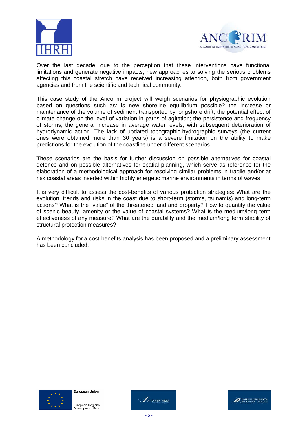



Over the last decade, due to the perception that these interventions have functional limitations and generate negative impacts, new approaches to solving the serious problems affecting this coastal stretch have received increasing attention, both from government agencies and from the scientific and technical community.

This case study of the Ancorim project will weigh scenarios for physiographic evolution based on questions such as: is new shoreline equilibrium possible? the increase or maintenance of the volume of sediment transported by longshore drift; the potential effect of climate change on the level of variation in paths of agitation; the persistence and frequency of storms, the general increase in average water levels, with subsequent deterioration of hydrodynamic action. The lack of updated topographic-hydrographic surveys (the current ones were obtained more than 30 years) is a severe limitation on the ability to make predictions for the evolution of the coastline under different scenarios.

These scenarios are the basis for further discussion on possible alternatives for coastal defence and on possible alternatives for spatial planning, which serve as reference for the elaboration of a methodological approach for resolving similar problems in fragile and/or at risk coastal areas inserted within highly energetic marine environments in terms of waves.

It is very difficult to assess the cost-benefits of various protection strategies: What are the evolution, trends and risks in the coast due to short-term (storms, tsunamis) and long-term actions? What is the "value" of the threatened land and property? How to quantify the value of scenic beauty, amenity or the value of coastal systems? What is the medium/long term effectiveness of any measure? What are the durability and the medium/long term stability of structural protection measures?

A methodology for a cost-benefits analysis has been proposed and a preliminary assessment has been concluded.





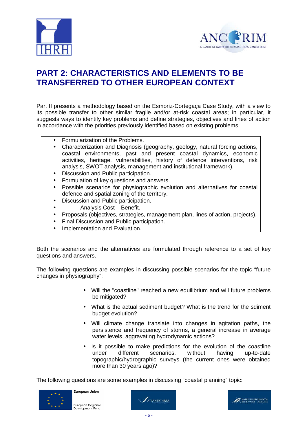



## **PART 2: CHARACTERISTICS AND ELEMENTS TO BE TRANSFERRED TO OTHER EUROPEAN CONTEXT**

Part II presents a methodology based on the Esmoriz-Cortegaça Case Study, with a view to its possible transfer to other similar fragile and/or at-risk coastal areas; in particular, it suggests ways to identify key problems and define strategies, objectives and lines of action in accordance with the priorities previously identified based on existing problems.

- Formularization of the Problems.
- Characterization and Diagnosis (geography, geology, natural forcing actions, coastal environments, past and present coastal dynamics, economic activities, heritage, vulnerabilities, history of defence interventions, risk analysis, SWOT analysis, management and institutional framework).
- Discussion and Public participation.
- Formulation of key questions and answers.
- Possible scenarios for physiographic evolution and alternatives for coastal defence and spatial zoning of the territory.
- Discussion and Public participation.
- Analysis Cost Benefit.
- Proposals (objectives, strategies, management plan, lines of action, projects).
- Final Discussion and Public participation.
- Implementation and Evaluation.

Both the scenarios and the alternatives are formulated through reference to a set of key questions and answers.

The following questions are examples in discussing possible scenarios for the topic "future changes in physiography":

- Will the "coastline" reached a new equilibrium and will future problems be mitigated?
- What is the actual sediment budget? What is the trend for the sdiment budget evolution?
- Will climate change translate into changes in agitation paths, the persistence and frequency of storms, a general increase in average water levels, aggravating hydrodynamic actions?
- Is it possible to make predictions for the evolution of the coastline under different scenarios, without having up-to-date topographic/hydrographic surveys (the current ones were obtained more than 30 years ago)?

The following questions are some examples in discussing "coastal planning" topic:





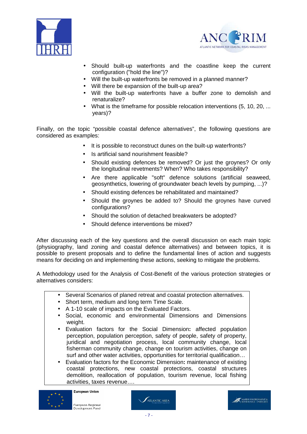



- Should built-up waterfronts and the coastline keep the current configuration ("hold the line")?
- Will the built-up waterfronts be removed in a planned manner?
- Will there be expansion of the built-up area?
- Will the built-up waterfronts have a buffer zone to demolish and renaturalize?
- What is the timeframe for possible relocation interventions (5, 10, 20, ... years)?

Finally, on the topic "possible coastal defence alternatives", the following questions are considered as examples:

- It is possible to reconstruct dunes on the built-up waterfronts?
- Is artificial sand nourishment feasible?
- Should existing defences be removed? Or just the groynes? Or only the longitudinal revetments? When? Who takes responsibility?
- Are there applicable "soft" defence solutions (artificial seaweed, geosynthetics, lowering of groundwater beach levels by pumping, ...)?
- Should existing defences be rehabilitated and maintained?
- Should the groynes be added to? Should the groynes have curved configurations?
- Should the solution of detached breakwaters be adopted?
- Should defence interventions be mixed?

After discussing each of the key questions and the overall discussion on each main topic (physiography, land zoning and coastal defence alternatives) and between topics, it is possible to present proposals and to define the fundamental lines of action and suggests means for deciding on and implementing these actions, seeking to mitigate the problems.

A Methodology used for the Analysis of Cost-Benefit of the various protection strategies or alternatives considers:

- Several Scenarios of planed retreat and coastal protection alternatives.
- Short term, medium and long term Time Scale.
- A 1-10 scale of impacts on the Evaluated Factors.
- Social, economic and environmental Dimensions and Dimensions weight.
- Evaluation factors for the Social Dimension**:** affected population perception, population perception, safety of people, safety of property, juridical and negotiation process, local community change, local fisherman community change, change on tourism activities, change on surf and other water activities, opportunities for territorial qualification...
- Evaluation factors for the Economic Dimension**:** maintenance of existing coastal protections, new coastal protections, coastal structures demolition, reallocation of population, tourism revenue, local fishing activities, taxes revenue….





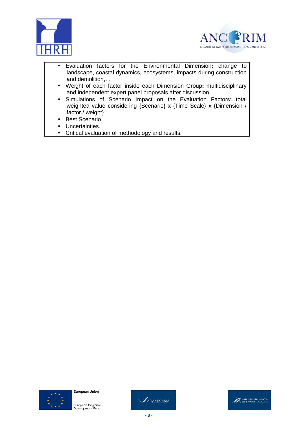



- Evaluation factors for the Environmental Dimension**:** change to landscape, coastal dynamics, ecosystems, impacts during construction and demolition,…
- Weight of each factor inside each Dimension Group**:** multidisciplinary and independent expert panel proposals after discussion.
- Simulations of Scenario Impact on the Evaluation Factors: total weighted value considering {Scenario} x {Time Scale} x {Dimension / factor / weight}.
- Best Scenario.
- Uncertainties.
- Critical evaluation of methodology and results.





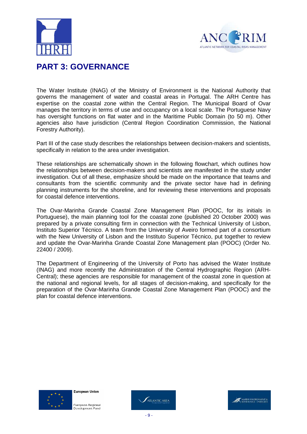



### **PART 3: GOVERNANCE**

The Water Institute (INAG) of the Ministry of Environment is the National Authority that governs the management of water and coastal areas in Portugal. The ARH Centre has expertise on the coastal zone within the Central Region. The Municipal Board of Ovar manages the territory in terms of use and occupancy on a local scale. The Portuguese Navy has oversight functions on flat water and in the Maritime Public Domain (to 50 m). Other agencies also have jurisdiction (Central Region Coordination Commission, the National Forestry Authority).

Part III of the case study describes the relationships between decision-makers and scientists, specifically in relation to the area under investigation.

These relationships are schematically shown in the following flowchart, which outlines how the relationships between decision-makers and scientists are manifested in the study under investigation. Out of all these, emphasize should be made on the importance that teams and consultants from the scientific community and the private sector have had in defining planning instruments for the shoreline, and for reviewing these interventions and proposals for coastal defence interventions.

The Ovar-Marinha Grande Coastal Zone Management Plan (POOC, for its initials in Portuguese), the main planning tool for the coastal zone (published 20 October 2000) was prepared by a private consulting firm in connection with the Technical University of Lisbon, Instituto Superior Técnico. A team from the University of Aveiro formed part of a consortium with the New University of Lisbon and the Instituto Superior Técnico, put together to review and update the Ovar-Marinha Grande Coastal Zone Management plan (POOC) (Order No. 22400 / 2009).

The Department of Engineering of the University of Porto has advised the Water Institute (INAG) and more recently the Administration of the Central Hydrographic Region (ARH-Central); these agencies are responsible for management of the coastal zone in question at the national and regional levels, for all stages of decision-making, and specifically for the preparation of the Ovar-Marinha Grande Coastal Zone Management Plan (POOC) and the plan for coastal defence interventions.





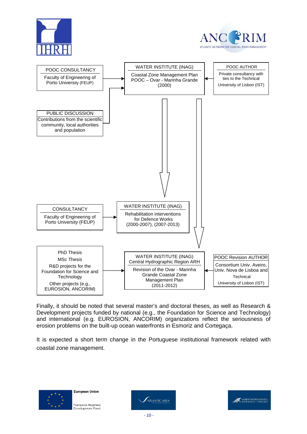





Finally, it should be noted that several master's and doctoral theses, as well as Research & Development projects funded by national (e.g., the Foundation for Science and Technology) and international (e.g. EUROSION, ANCORIM) organizations reflect the seriousness of erosion problems on the built-up ocean waterfronts in Esmoriz and Cortegaça.

It is expected a short term change in the Portuguese institutional framework related with coastal zone management.



**ATLANTIC AREA** 

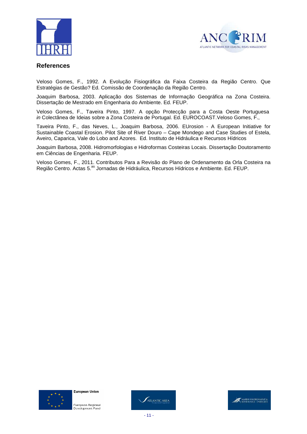



#### **References**

Veloso Gomes, F., 1992. A Evolução Fisiográfica da Faixa Costeira da Região Centro. Que Estratégias de Gestão? Ed. Comissão de Coordenação da Região Centro.

Joaquim Barbosa, 2003. Aplicação dos Sistemas de Informação Geográfica na Zona Costeira. Dissertação de Mestrado em Engenharia do Ambiente. Ed. FEUP.

Veloso Gomes, F., Taveira Pinto, 1997. A opção Protecção para a Costa Oeste Portuguesa in Colectânea de Ideias sobre a Zona Costeira de Portugal. Ed. EUROCOAST.Veloso Gomes, F.,

Taveira Pinto, F., das Neves, L., Joaquim Barbosa, 2006. EUrosion - A European Initiative for Sustainable Coastal Erosion. Pilot Site of River Douro – Cape Mondego and Case Studies of Estela, Aveiro, Caparica, Vale do Lobo and Azores. Ed. Instituto de Hidráulica e Recursos Hídricos

Joaquim Barbosa, 2008. Hidromorfologias e Hidroformas Costeiras Locais. Dissertação Doutoramento em Ciências de Engenharia. FEUP.

Veloso Gomes, F., 2011. Contributos Para a Revisão do Plano de Ordenamento da Orla Costeira na Região Centro. Actas 5.<sup>as</sup> Jornadas de Hidráulica, Recursos Hídricos e Ambiente. Ed. FEUP.



**European Union** 



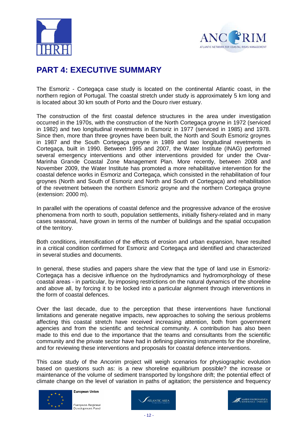



## **PART 4: EXECUTIVE SUMMARY**

The Esmoriz - Cortegaça case study is located on the continental Atlantic coast, in the northern region of Portugal. The coastal stretch under study is approximately 5 km long and is located about 30 km south of Porto and the Douro river estuary.

The construction of the first coastal defence structures in the area under investigation occurred in the 1970s, with the construction of the North Cortegaça groyne in 1972 (serviced in 1982) and two longitudinal revetments in Esmoriz in 1977 (serviced in 1985) and 1978. Since then, more than three groynes have been built, the North and South Esmoriz groynes in 1987 and the South Cortegaça groyne in 1989 and two longitudinal revetments in Cortegaça, built in 1990. Between 1995 and 2007, the Water Institute (INAG) performed several emergency interventions and other interventions provided for under the Ovar-Marinha Grande Coastal Zone Management Plan. More recently, between 2008 and November 2009, the Water Institute has promoted a more rehabilitative intervention for the coastal defence works in Esmoriz and Cortegaça, which consisted in the rehabilitation of four groynes (North and South of Esmoriz and North and South of Cortegaça) and rehabilitation of the revetment between the northern Esmoriz groyne and the northern Cortegaça groyne (extension: 2000 m).

In parallel with the operations of coastal defence and the progressive advance of the erosive phenomena from north to south, population settlements, initially fishery-related and in many cases seasonal, have grown in terms of the number of buildings and the spatial occupation of the territory.

Both conditions, intensification of the effects of erosion and urban expansion, have resulted in a critical condition confirmed for Esmoriz and Cortegaça and identified and characterized in several studies and documents.

In general, these studies and papers share the view that the type of land use in Esmoriz-Cortegaça has a decisive influence on the hydrodynamics and hydromorphology of these coastal areas - in particular, by imposing restrictions on the natural dynamics of the shoreline and above all, by forcing it to be locked into a particular alignment through interventions in the form of coastal defences.

Over the last decade, due to the perception that these interventions have functional limitations and generate negative impacts, new approaches to solving the serious problems affecting this coastal stretch have received increasing attention, both from government agencies and from the scientific and technical community. A contribution has also been made to this end due to the importance that the teams and consultants from the scientific community and the private sector have had in defining planning instruments for the shoreline, and for reviewing these interventions and proposals for coastal defence interventions.

This case study of the Ancorim project will weigh scenarios for physiographic evolution based on questions such as: is a new shoreline equilibrium possible? the increase or maintenance of the volume of sediment transported by longshore drift; the potential effect of climate change on the level of variation in paths of agitation; the persistence and frequency